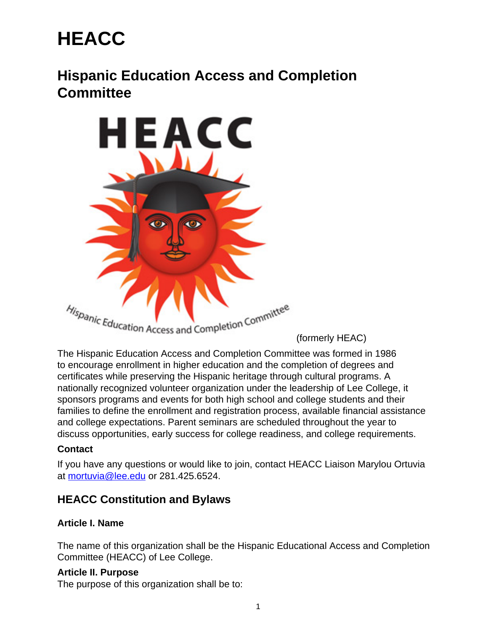# **HEACC**

# **Hispanic Education Access and Completion Committee**



(formerly HEAC)

The Hispanic Education Access and Completion Committee was formed in 1986 to encourage enrollment in higher education and the completion of degrees and certificates while preserving the Hispanic heritage through cultural programs. A nationally recognized volunteer organization under the leadership of Lee College, it sponsors programs and events for both high school and college students and their families to define the enrollment and registration process, available financial assistance and college expectations. Parent seminars are scheduled throughout the year to discuss opportunities, early success for college readiness, and college requirements.

#### **Contact**

If you have any questions or would like to join, contact HEACC Liaison Marylou Ortuvia at [mortuvia@lee.edu](mailto:mortuvia@lee.edu) or 281.425.6524.

# **HEACC Constitution and Bylaws**

#### **Article I. Name**

The name of this organization shall be the Hispanic Educational Access and Completion Committee (HEACC) of Lee College.

#### **Article II. Purpose**

The purpose of this organization shall be to: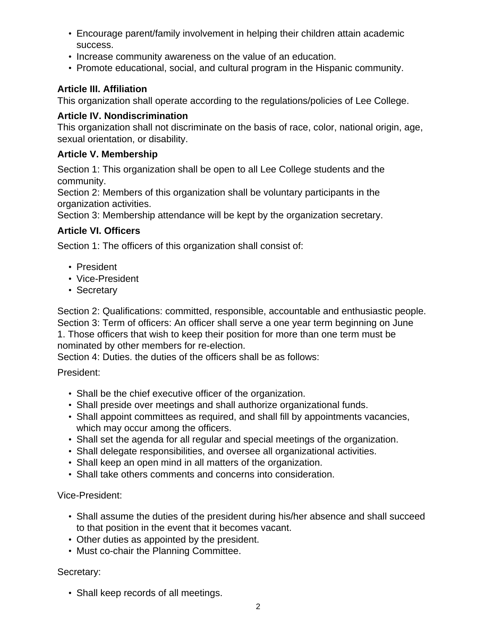- Encourage parent/family involvement in helping their children attain academic success.
- Increase community awareness on the value of an education.
- Promote educational, social, and cultural program in the Hispanic community.

# **Article III. Affiliation**

This organization shall operate according to the regulations/policies of Lee College.

#### **Article IV. Nondiscrimination**

This organization shall not discriminate on the basis of race, color, national origin, age, sexual orientation, or disability.

#### **Article V. Membership**

Section 1: This organization shall be open to all Lee College students and the community.

Section 2: Members of this organization shall be voluntary participants in the organization activities.

Section 3: Membership attendance will be kept by the organization secretary.

# **Article VI. Officers**

Section 1: The officers of this organization shall consist of:

- President
- Vice-President
- Secretary

Section 2: Qualifications: committed, responsible, accountable and enthusiastic people. Section 3: Term of officers: An officer shall serve a one year term beginning on June

1. Those officers that wish to keep their position for more than one term must be nominated by other members for re-election.

Section 4: Duties. the duties of the officers shall be as follows:

#### President:

- Shall be the chief executive officer of the organization.
- Shall preside over meetings and shall authorize organizational funds.
- Shall appoint committees as required, and shall fill by appointments vacancies, which may occur among the officers.
- Shall set the agenda for all regular and special meetings of the organization.
- Shall delegate responsibilities, and oversee all organizational activities.
- Shall keep an open mind in all matters of the organization.
- Shall take others comments and concerns into consideration.

#### Vice-President:

- Shall assume the duties of the president during his/her absence and shall succeed to that position in the event that it becomes vacant.
- Other duties as appointed by the president.
- Must co-chair the Planning Committee.

#### Secretary:

• Shall keep records of all meetings.